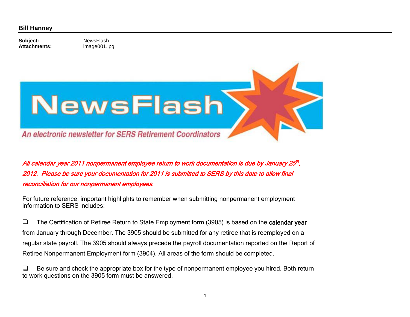## **Bill Hanney**

Subject: NewsFlash **Attachments:**

image001.jpg



All calendar year 2011 nonpermanent employee return to work documentation is due by January 25<sup>th</sup>, 2012. Please be sure your documentation for 2011 is submitted to SERS by this date to allow final reconciliation for our nonpermanent employees.

For future reference, important highlights to remember when submitting nonpermanent employment information to SERS includes:

 $\Box$  The Certification of Retiree Return to State Employment form (3905) is based on the calendar year from January through December. The 3905 should be submitted for any retiree that is reemployed on a regular state payroll. The 3905 should always precede the payroll documentation reported on the Report of Retiree Nonpermanent Employment form (3904). All areas of the form should be completed.

 $\Box$  Be sure and check the appropriate box for the type of nonpermanent employee you hired. Both return to work questions on the 3905 form must be answered.